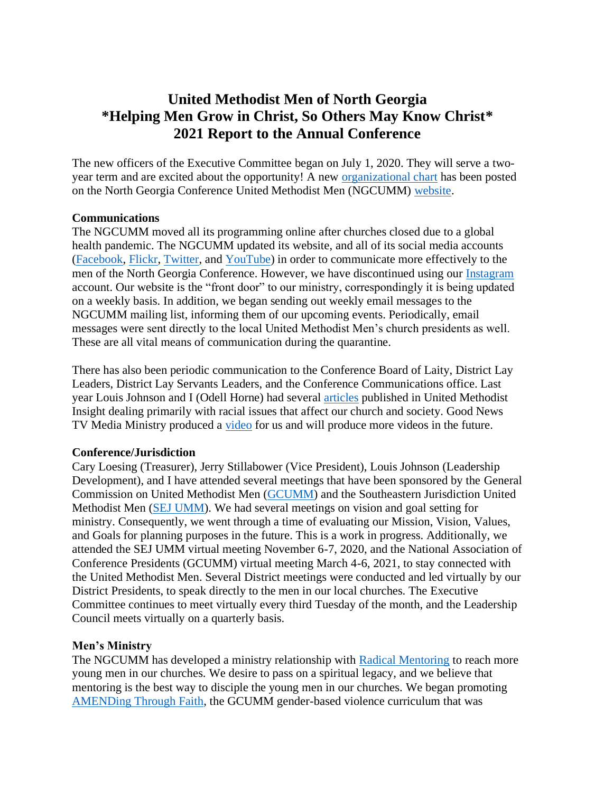## **United Methodist Men of North Georgia \*Helping Men Grow in Christ, So Others May Know Christ\* 2021 Report to the Annual Conference**

The new officers of the Executive Committee began on July 1, 2020. They will serve a twoyear term and are excited about the opportunity! A new [organizational chart](https://www.new.youngbossinc.com/umm/organization-chart/) has been posted on the North Georgia Conference United Methodist Men (NGCUMM) [website.](http://www.ngcumm.org/)

## **Communications**

The NGCUMM moved all its programming online after churches closed due to a global health pandemic. The NGCUMM updated its website, and all of its social media accounts [\(Facebook,](https://www.facebook.com/ummennga/) [Flickr,](https://www.flickr.com/photos/189570541@N07/) [Twitter,](https://twitter.com/UMMenNGa) and [YouTube\)](https://www.youtube.com/user/UMMenNGa) in order to communicate more effectively to the men of the North Georgia Conference. However, we have discontinued using our [Instagram](https://www.instagram.com/ummennga/) account. Our website is the "front door" to our ministry, correspondingly it is being updated on a weekly basis. In addition, we began sending out weekly email messages to the NGCUMM mailing list, informing them of our upcoming events. Periodically, email messages were sent directly to the local United Methodist Men's church presidents as well. These are all vital means of communication during the quarantine.

There has also been periodic communication to the Conference Board of Laity, District Lay Leaders, District Lay Servants Leaders, and the Conference Communications office. Last year Louis Johnson and I (Odell Horne) had several [articles](https://www.new.youngbossinc.com/umm/umm-news/) published in United Methodist Insight dealing primarily with racial issues that affect our church and society. Good News TV Media Ministry produced a [video](https://www.youtube.com/watch?v=5zs_YlwB6Lo) for us and will produce more videos in the future.

## **Conference/Jurisdiction**

Cary Loesing (Treasurer), Jerry Stillabower (Vice President), Louis Johnson (Leadership Development), and I have attended several meetings that have been sponsored by the General Commission on United Methodist Men [\(GCUMM\)](http://www.gcumm.org/) and the Southeastern Jurisdiction United Methodist Men [\(SEJ UMM\)](https://sejumm.org/). We had several meetings on vision and goal setting for ministry. Consequently, we went through a time of evaluating our Mission, Vision, Values, and Goals for planning purposes in the future. This is a work in progress. Additionally, we attended the SEJ UMM virtual meeting November 6-7, 2020, and the National Association of Conference Presidents (GCUMM) virtual meeting March 4-6, 2021, to stay connected with the United Methodist Men. Several District meetings were conducted and led virtually by our District Presidents, to speak directly to the men in our local churches. The Executive Committee continues to meet virtually every third Tuesday of the month, and the Leadership Council meets virtually on a quarterly basis.

## **Men's Ministry**

The NGCUMM has developed a ministry relationship with [Radical Mentoring](https://radicalmentoring.com/umc/) to reach more young men in our churches. We desire to pass on a spiritual legacy, and we believe that mentoring is the best way to disciple the young men in our churches. We began promoting [AMENDing Through Faith,](http://www.gcumm.org/gender-based-violence) the GCUMM gender-based violence curriculum that was